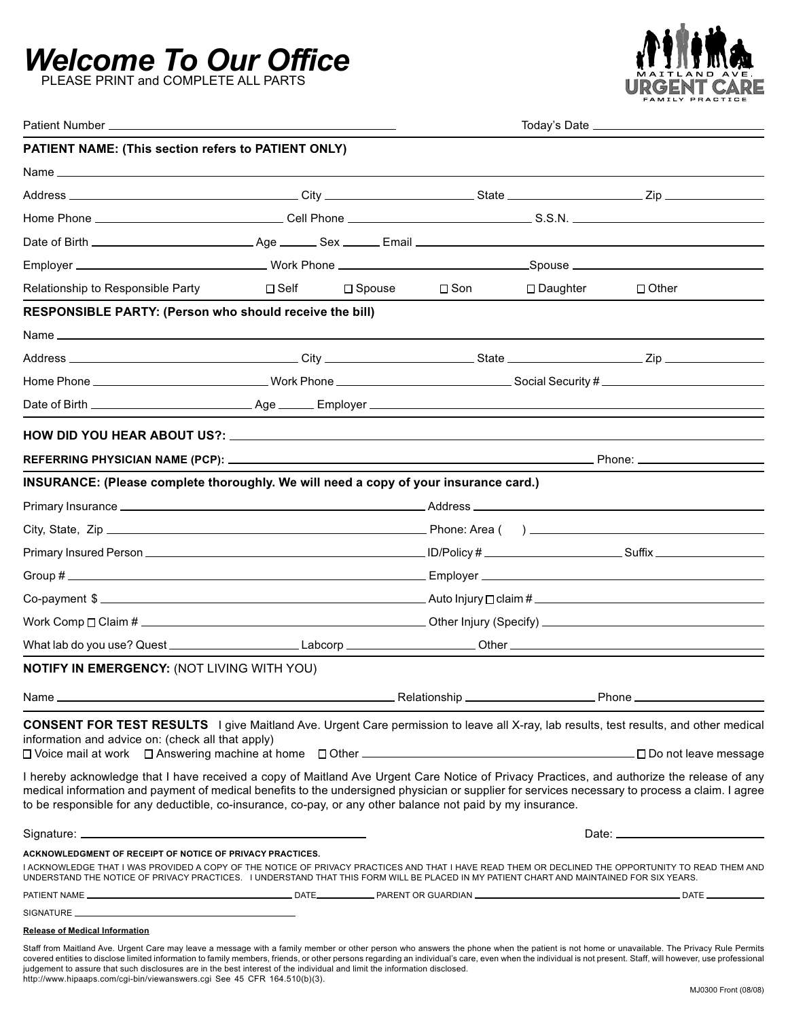# *Welcome To Our Office*

PLEASE PRINT and COMPLETE ALL PARTS



| PATIENT NAME: (This section refers to PATIENT ONLY)                                                                                                                                                                                                                                                                                                                                                                                                                                                                                                                                                                |                       |                  |                                                               |            |              |
|--------------------------------------------------------------------------------------------------------------------------------------------------------------------------------------------------------------------------------------------------------------------------------------------------------------------------------------------------------------------------------------------------------------------------------------------------------------------------------------------------------------------------------------------------------------------------------------------------------------------|-----------------------|------------------|---------------------------------------------------------------|------------|--------------|
| Name $\overline{\phantom{a}}$                                                                                                                                                                                                                                                                                                                                                                                                                                                                                                                                                                                      |                       |                  |                                                               |            |              |
|                                                                                                                                                                                                                                                                                                                                                                                                                                                                                                                                                                                                                    |                       |                  |                                                               |            |              |
|                                                                                                                                                                                                                                                                                                                                                                                                                                                                                                                                                                                                                    |                       |                  |                                                               |            |              |
|                                                                                                                                                                                                                                                                                                                                                                                                                                                                                                                                                                                                                    |                       |                  |                                                               |            |              |
|                                                                                                                                                                                                                                                                                                                                                                                                                                                                                                                                                                                                                    |                       |                  |                                                               |            |              |
| Relationship to Responsible Party                                                                                                                                                                                                                                                                                                                                                                                                                                                                                                                                                                                  | $\square$ Self        | $\square$ Spouse | $\square$ Son                                                 | □ Daughter | $\Box$ Other |
| RESPONSIBLE PARTY: (Person who should receive the bill)                                                                                                                                                                                                                                                                                                                                                                                                                                                                                                                                                            |                       |                  |                                                               |            |              |
|                                                                                                                                                                                                                                                                                                                                                                                                                                                                                                                                                                                                                    |                       |                  |                                                               |            |              |
|                                                                                                                                                                                                                                                                                                                                                                                                                                                                                                                                                                                                                    |                       |                  |                                                               |            |              |
| Home Phone _________________________________Work Phone _______________________________Social Security # _______________________________                                                                                                                                                                                                                                                                                                                                                                                                                                                                            |                       |                  |                                                               |            |              |
|                                                                                                                                                                                                                                                                                                                                                                                                                                                                                                                                                                                                                    |                       |                  |                                                               |            |              |
|                                                                                                                                                                                                                                                                                                                                                                                                                                                                                                                                                                                                                    |                       |                  |                                                               |            |              |
|                                                                                                                                                                                                                                                                                                                                                                                                                                                                                                                                                                                                                    |                       |                  |                                                               |            |              |
|                                                                                                                                                                                                                                                                                                                                                                                                                                                                                                                                                                                                                    |                       |                  |                                                               |            |              |
| INSURANCE: (Please complete thoroughly. We will need a copy of your insurance card.)                                                                                                                                                                                                                                                                                                                                                                                                                                                                                                                               |                       |                  |                                                               |            |              |
|                                                                                                                                                                                                                                                                                                                                                                                                                                                                                                                                                                                                                    |                       |                  |                                                               |            |              |
|                                                                                                                                                                                                                                                                                                                                                                                                                                                                                                                                                                                                                    |                       |                  |                                                               |            |              |
|                                                                                                                                                                                                                                                                                                                                                                                                                                                                                                                                                                                                                    |                       |                  |                                                               |            |              |
|                                                                                                                                                                                                                                                                                                                                                                                                                                                                                                                                                                                                                    |                       |                  |                                                               |            |              |
|                                                                                                                                                                                                                                                                                                                                                                                                                                                                                                                                                                                                                    | Co-payment $\text{\$$ |                  |                                                               |            |              |
|                                                                                                                                                                                                                                                                                                                                                                                                                                                                                                                                                                                                                    |                       |                  | Work Comp $\Box$ Claim # $\_\_\_\_\_\_\_\_\_\_\_\_\_\_\_\_\_$ |            |              |
|                                                                                                                                                                                                                                                                                                                                                                                                                                                                                                                                                                                                                    |                       |                  |                                                               |            |              |
| NOTIFY IN EMERGENCY: (NOT LIVING WITH YOU)                                                                                                                                                                                                                                                                                                                                                                                                                                                                                                                                                                         |                       |                  |                                                               |            |              |
|                                                                                                                                                                                                                                                                                                                                                                                                                                                                                                                                                                                                                    |                       |                  |                                                               |            |              |
| <b>CONSENT FOR TEST RESULTS</b> I give Maitland Ave. Urgent Care permission to leave all X-ray, lab results, test results, and other medical                                                                                                                                                                                                                                                                                                                                                                                                                                                                       |                       |                  |                                                               |            |              |
| information and advice on: (check all that apply)                                                                                                                                                                                                                                                                                                                                                                                                                                                                                                                                                                  |                       |                  |                                                               |            |              |
|                                                                                                                                                                                                                                                                                                                                                                                                                                                                                                                                                                                                                    |                       |                  |                                                               |            |              |
| I hereby acknowledge that I have received a copy of Maitland Ave Urgent Care Notice of Privacy Practices, and authorize the release of any<br>medical information and payment of medical benefits to the undersigned physician or supplier for services necessary to process a claim. I agree                                                                                                                                                                                                                                                                                                                      |                       |                  |                                                               |            |              |
| to be responsible for any deductible, co-insurance, co-pay, or any other balance not paid by my insurance.                                                                                                                                                                                                                                                                                                                                                                                                                                                                                                         |                       |                  |                                                               |            |              |
|                                                                                                                                                                                                                                                                                                                                                                                                                                                                                                                                                                                                                    |                       |                  |                                                               |            |              |
| ACKNOWLEDGMENT OF RECEIPT OF NOTICE OF PRIVACY PRACTICES.                                                                                                                                                                                                                                                                                                                                                                                                                                                                                                                                                          |                       |                  |                                                               |            |              |
| I ACKNOWLEDGE THAT I WAS PROVIDED A COPY OF THE NOTICE OF PRIVACY PRACTICES AND THAT I HAVE READ THEM OR DECLINED THE OPPORTUNITY TO READ THEM AND<br>UNDERSTAND THE NOTICE OF PRIVACY PRACTICES. I UNDERSTAND THAT THIS FORM WILL BE PLACED IN MY PATIENT CHART AND MAINTAINED FOR SIX YEARS.                                                                                                                                                                                                                                                                                                                     |                       |                  |                                                               |            |              |
|                                                                                                                                                                                                                                                                                                                                                                                                                                                                                                                                                                                                                    |                       |                  |                                                               |            |              |
|                                                                                                                                                                                                                                                                                                                                                                                                                                                                                                                                                                                                                    |                       |                  |                                                               |            |              |
| <b>Release of Medical Information</b>                                                                                                                                                                                                                                                                                                                                                                                                                                                                                                                                                                              |                       |                  |                                                               |            |              |
| Staff from Maitland Ave. Urgent Care may leave a message with a family member or other person who answers the phone when the patient is not home or unavailable. The Privacy Rule Permits<br>covered entities to disclose limited information to family members, friends, or other persons regarding an individual's care, even when the individual is not present. Staff, will however, use professional<br>judgement to assure that such disclosures are in the best interest of the individual and limit the information disclosed.<br>http://www.hipaaps.com/cgi-bin/viewanswers.cgi See 45 CFR 164.510(b)(3). |                       |                  |                                                               |            |              |